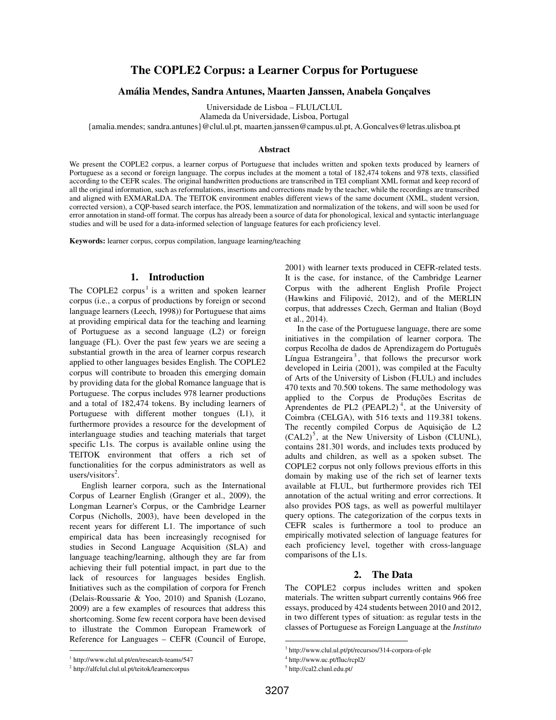# **The COPLE2 Corpus: a Learner Corpus for Portuguese**

# **Amália Mendes, Sandra Antunes, Maarten Janssen, Anabela Gonçalves**

Universidade de Lisboa – FLUL/CLUL

Alameda da Universidade, Lisboa, Portugal

{amalia.mendes; sandra.antunes}@clul.ul.pt, maarten.janssen@campus.ul.pt, A.Goncalves@letras.ulisboa.pt

#### **Abstract**

We present the COPLE2 corpus, a learner corpus of Portuguese that includes written and spoken texts produced by learners of Portuguese as a second or foreign language. The corpus includes at the moment a total of 182,474 tokens and 978 texts, classified according to the CEFR scales. The original handwritten productions are transcribed in TEI compliant XML format and keep record of all the original information, such as reformulations, insertions and corrections made by the teacher, while the recordings are transcribed and aligned with EXMARaLDA. The TEITOK environment enables different views of the same document (XML, student version, corrected version), a CQP-based search interface, the POS, lemmatization and normalization of the tokens, and will soon be used for error annotation in stand-off format. The corpus has already been a source of data for phonological, lexical and syntactic interlanguage studies and will be used for a data-informed selection of language features for each proficiency level.

**Keywords:** learner corpus, corpus compilation, language learning/teaching

## **1. Introduction**

The COPLE2 corpus<sup>1</sup> is a written and spoken learner corpus (i.e., a corpus of productions by foreign or second language learners (Leech, 1998)) for Portuguese that aims at providing empirical data for the teaching and learning of Portuguese as a second language (L2) or foreign language (FL). Over the past few years we are seeing a substantial growth in the area of learner corpus research applied to other languages besides English. The COPLE2 corpus will contribute to broaden this emerging domain by providing data for the global Romance language that is Portuguese. The corpus includes 978 learner productions and a total of 182,474 tokens. By including learners of Portuguese with different mother tongues (L1), it furthermore provides a resource for the development of interlanguage studies and teaching materials that target specific L1s. The corpus is available online using the TEITOK environment that offers a rich set of functionalities for the corpus administrators as well as users/visitors<sup>2</sup>.

English learner corpora, such as the International Corpus of Learner English (Granger et al., 2009), the Longman Learner's Corpus, or the Cambridge Learner Corpus (Nicholls, 2003), have been developed in the recent years for different L1. The importance of such empirical data has been increasingly recognised for studies in Second Language Acquisition (SLA) and language teaching/learning, although they are far from achieving their full potential impact, in part due to the lack of resources for languages besides English. Initiatives such as the compilation of corpora for French (Delais-Roussarie & Yoo, 2010) and Spanish (Lozano, 2009) are a few examples of resources that address this shortcoming. Some few recent corpora have been devised to illustrate the Common European Framework of Reference for Languages – CEFR (Council of Europe,

1 http://www.clul.ul.pt/en/research-teams/547 <sup>2</sup> http://alfclul.clul.ul.pt/teitok/learnercorpus

 $\overline{a}$ 

2001) with learner texts produced in CEFR-related tests. It is the case, for instance, of the Cambridge Learner Corpus with the adherent English Profile Project (Hawkins and Filipović, 2012), and of the MERLIN corpus, that addresses Czech, German and Italian (Boyd et al., 2014).

In the case of the Portuguese language, there are some initiatives in the compilation of learner corpora. The corpus Recolha de dados de Aprendizagem do Português Língua Estrangeira<sup>3</sup>, that follows the precursor work developed in Leiria (2001), was compiled at the Faculty of Arts of the University of Lisbon (FLUL) and includes 470 texts and 70.500 tokens. The same methodology was applied to the Corpus de Produções Escritas de Aprendentes de PL2  $(PEAPL2)^4$ , at the University of Coimbra (CELGA), with 516 texts and 119.381 tokens. The recently compiled Corpus de Aquisição de L2  $(CAL2)^5$ , at the New University of Lisbon (CLUNL), contains 281.301 words, and includes texts produced by adults and children, as well as a spoken subset. The COPLE2 corpus not only follows previous efforts in this domain by making use of the rich set of learner texts available at FLUL, but furthermore provides rich TEI annotation of the actual writing and error corrections. It also provides POS tags, as well as powerful multilayer query options. The categorization of the corpus texts in CEFR scales is furthermore a tool to produce an empirically motivated selection of language features for each proficiency level, together with cross-language comparisons of the L1s.

# **2. The Data**

The COPLE2 corpus includes written and spoken materials. The written subpart currently contains 966 free essays, produced by 424 students between 2010 and 2012, in two different types of situation: as regular tests in the classes of Portuguese as Foreign Language at the *Instituto* 

-

<sup>3</sup> http://www.clul.ul.pt/pt/recursos/314-corpora-of-ple

<sup>4</sup> http://www.uc.pt/fluc/rcpl2/

<sup>5</sup> http://cal2.clunl.edu.pt/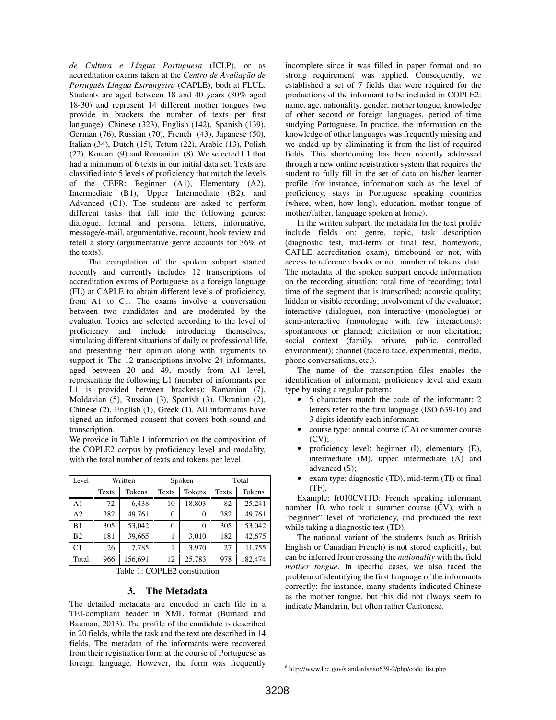*de Cultura e Língua Portuguesa* (ICLP), or as accreditation exams taken at the *Centro de Avaliação de Português Língua Estrangeira* (CAPLE), both at FLUL. Students are aged between 18 and 40 years (80% aged 18-30) and represent 14 different mother tongues (we provide in brackets the number of texts per first language): Chinese (323), English (142), Spanish (139), German (76), Russian (70), French (43), Japanese (50), Italian (34), Dutch (15), Tetum (22), Arabic (13), Polish (22), Korean (9) and Romanian (8). We selected L1 that had a minimum of 6 texts in our initial data set. Texts are classified into 5 levels of proficiency that match the levels of the CEFR: Beginner (A1), Elementary (A2), Intermediate (B1), Upper Intermediate (B2), and Advanced (C1). The students are asked to perform different tasks that fall into the following genres: dialogue, formal and personal letters, informative, message/e-mail, argumentative, recount, book review and retell a story (argumentative genre accounts for 36% of the texts).

 The compilation of the spoken subpart started recently and currently includes 12 transcriptions of accreditation exams of Portuguese as a foreign language (FL) at CAPLE to obtain different levels of proficiency, from A1 to C1. The exams involve a conversation between two candidates and are moderated by the evaluator. Topics are selected according to the level of proficiency and include introducing themselves, simulating different situations of daily or professional life, and presenting their opinion along with arguments to support it. The 12 transcriptions involve 24 informants, aged between 20 and 49, mostly from A1 level, representing the following L1 (number of informants per L1 is provided between brackets): Romanian (7), Moldavian (5), Russian (3), Spanish (3), Ukranian (2), Chinese (2), English (1), Greek (1). All informants have signed an informed consent that covers both sound and transcription.

We provide in Table 1 information on the composition of the COPLE2 corpus by proficiency level and modality, with the total number of texts and tokens per level.

| Level          | Written |         | Spoken |        | Total |         |
|----------------|---------|---------|--------|--------|-------|---------|
|                | Texts   | Tokens  | Texts  | Tokens | Texts | Tokens  |
| A1             | 72      | 6,438   | 10     | 18,803 | 82    | 25,241  |
| A <sub>2</sub> | 382     | 49.761  | 0      | 0      | 382   | 49.761  |
| B1             | 305     | 53,042  | 0      | 0      | 305   | 53,042  |
| B <sub>2</sub> | 181     | 39,665  |        | 3.010  | 182   | 42.675  |
| C1             | 26      | 7,785   |        | 3.970  | 27    | 11,755  |
| Total          | 966     | 156,691 | 12     | 25,783 | 978   | 182,474 |

Table 1: COPLE2 constitution

# **3. The Metadata**

The detailed metadata are encoded in each file in a TEI-compliant header in XML format (Burnard and Bauman, 2013). The profile of the candidate is described in 20 fields, while the task and the text are described in 14 fields. The metadata of the informants were recovered from their registration form at the course of Portuguese as foreign language. However, the form was frequently

incomplete since it was filled in paper format and no strong requirement was applied. Consequently, we established a set of 7 fields that were required for the productions of the informant to be included in COPLE2: name, age, nationality, gender, mother tongue, knowledge of other second or foreign languages, period of time studying Portuguese. In practice, the information on the knowledge of other languages was frequently missing and we ended up by eliminating it from the list of required fields. This shortcoming has been recently addressed through a new online registration system that requires the student to fully fill in the set of data on his/her learner profile (for instance, information such as the level of proficiency, stays in Portuguese speaking countries (where, when, how long), education, mother tongue of mother/father, language spoken at home).

In the written subpart, the metadata for the text profile include fields on: genre, topic, task description (diagnostic test, mid-term or final test, homework, CAPLE accreditation exam), timebound or not, with access to reference books or not, number of tokens, date. The metadata of the spoken subpart encode information on the recording situation: total time of recording; total time of the segment that is transcribed; acoustic quality; hidden or visible recording; involvement of the evaluator; interactive (dialogue), non interactive (monologue) or semi-interactive (monologue with few interactions); spontaneous or planned; elicitation or non elicitation; social context (family, private, public, controlled environment); channel (face to face, experimental, media, phone conversations, etc.).

The name of the transcription files enables the identification of informant, proficiency level and exam type by using a regular pattern:

- 5 characters match the code of the informant: 2 letters refer to the first language (ISO 639-16) and 3 digits identify each informant;
- course type: annual course (CA) or summer course  $(CV)$ :
- proficiency level: beginner (I), elementary (E), intermediate (M), upper intermediate (A) and advanced (S);
- exam type: diagnostic (TD), mid-term (TI) or final (TF).

Example: fr010CVITD: French speaking informant number 10, who took a summer course (CV), with a "beginner" level of proficiency, and produced the text while taking a diagnostic test (TD).

The national variant of the students (such as British English or Canadian French) is not stored explicitly, but can be inferred from crossing the *nationality* with the field *mother tongue*. In specific cases, we also faced the problem of identifying the first language of the informants correctly: for instance, many students indicated Chinese as the mother tongue, but this did not always seem to indicate Mandarin, but often rather Cantonese.

-

<sup>6</sup> http://www.loc.gov/standards/iso639-2/php/code\_list.php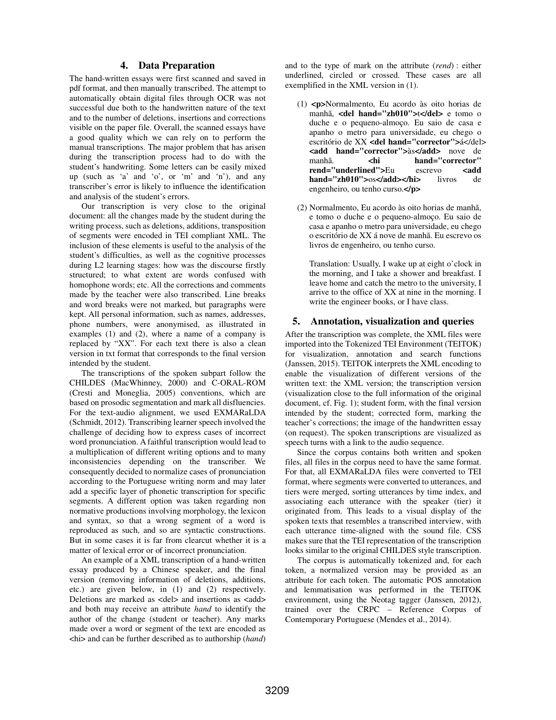# **4. Data Preparation**

The hand-written essays were first scanned and saved in pdf format, and then manually transcribed. The attempt to automatically obtain digital files through OCR was not successful due both to the handwritten nature of the text and to the number of deletions, insertions and corrections visible on the paper file. Overall, the scanned essays have a good quality which we can rely on to perform the manual transcriptions. The major problem that has arisen during the transcription process had to do with the student's handwriting. Some letters can be easily mixed up (such as 'a' and 'o', or 'm' and 'n'), and any transcriber's error is likely to influence the identification and analysis of the student's errors.

 Our transcription is very close to the original document: all the changes made by the student during the writing process, such as deletions, additions, transposition of segments were encoded in TEI compliant XML. The inclusion of these elements is useful to the analysis of the student's difficulties, as well as the cognitive processes during L2 learning stages: how was the discourse firstly structured; to what extent are words confused with homophone words; etc. All the corrections and comments made by the teacher were also transcribed. Line breaks and word breaks were not marked, but paragraphs were kept. All personal information, such as names, addresses, phone numbers, were anonymised, as illustrated in examples (1) and (2), where a name of a company is replaced by "XX". For each text there is also a clean version in txt format that corresponds to the final version intended by the student.

The transcriptions of the spoken subpart follow the CHILDES (MacWhinney, 2000) and C-ORAL-ROM (Cresti and Moneglia, 2005) conventions, which are based on prosodic segmentation and mark all disfluencies. For the text-audio alignment, we used EXMARaLDA (Schmidt, 2012). Transcribing learner speech involved the challenge of deciding how to express cases of incorrect word pronunciation. A faithful transcription would lead to a multiplication of different writing options and to many inconsistencies depending on the transcriber. We consequently decided to normalize cases of pronunciation according to the Portuguese writing norm and may later add a specific layer of phonetic transcription for specific segments. A different option was taken regarding non normative productions involving morphology, the lexicon and syntax, so that a wrong segment of a word is reproduced as such, and so are syntactic constructions. But in some cases it is far from clearcut whether it is a matter of lexical error or of incorrect pronunciation.

An example of a XML transcription of a hand-written essay produced by a Chinese speaker, and the final version (removing information of deletions, additions, etc.) are given below, in (1) and (2) respectively. Deletions are marked as <del> and insertions as <add> and both may receive an attribute *hand* to identify the author of the change (student or teacher). Any marks made over a word or segment of the text are encoded as <hi> and can be further described as to authorship (*hand*) and to the type of mark on the attribute (*rend*) : either underlined, circled or crossed. These cases are all exemplified in the XML version in (1).

- (1) **<p>**Normalmento, Eu acordo às oito horias de manhã, <del hand="zh010">t</del> e tomo o duche e o pequeno-almoço. Eu saio de casa e apanho o metro para universidade, eu chego o escritório de XX **<del hand="corrector">**á</del> **<add hand="corrector">**às**</add>** nove de manhã. **<hi hand="corrector" rend="underlined">Eu** escrevo <add **hand="zh010">**os**</add></hi>** livros de engenheiro, ou tenho curso.**</p>**
- (2) Normalmento, Eu acordo às oito horias de manhã, e tomo o duche e o pequeno-almoço. Eu saio de casa e apanho o metro para universidade, eu chego o escritório de XX á nove de manhã. Eu escrevo os livros de engenheiro, ou tenho curso.

 Translation: Usually, I wake up at eight o'clock in the morning, and I take a shower and breakfast. I leave home and catch the metro to the university, I arrive to the office of XX at nine in the morning. I write the engineer books, or I have class.

#### **5. Annotation, visualization and queries**

After the transcription was complete, the XML files were imported into the Tokenized TEI Environment (TEITOK) for visualization, annotation and search functions (Janssen, 2015). TEITOK interprets the XML encoding to enable the visualization of different versions of the written text: the XML version; the transcription version (visualization close to the full information of the original document, cf. Fig. 1); student form, with the final version intended by the student; corrected form, marking the teacher's corrections; the image of the handwritten essay (on request). The spoken transcriptions are visualized as speech turns with a link to the audio sequence.

Since the corpus contains both written and spoken files, all files in the corpus need to have the same format. For that, all EXMARaLDA files were converted to TEI format, where segments were converted to utterances, and tiers were merged, sorting utterances by time index, and associating each utterance with the speaker (tier) it originated from. This leads to a visual display of the spoken texts that resembles a transcribed interview, with each utterance time-aligned with the sound file. CSS makes sure that the TEI representation of the transcription looks similar to the original CHILDES style transcription.

The corpus is automatically tokenized and, for each token, a normalized version may be provided as an attribute for each token. The automatic POS annotation and lemmatisation was performed in the TEITOK environment, using the Neotag tagger (Janssen, 2012), trained over the CRPC – Reference Corpus of Contemporary Portuguese (Mendes et al., 2014).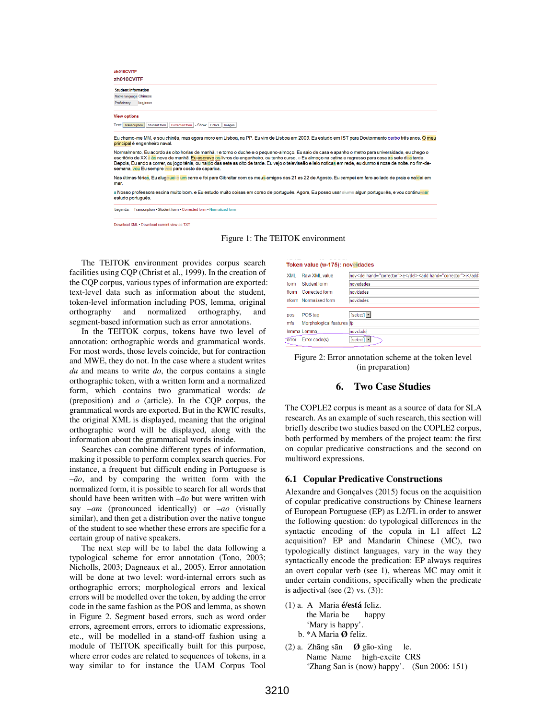| zh010CVITF                    |                                                                                                                                                                                                                                                                                                                                                                                                                                                                                                                                     |
|-------------------------------|-------------------------------------------------------------------------------------------------------------------------------------------------------------------------------------------------------------------------------------------------------------------------------------------------------------------------------------------------------------------------------------------------------------------------------------------------------------------------------------------------------------------------------------|
| <b>Student Information</b>    |                                                                                                                                                                                                                                                                                                                                                                                                                                                                                                                                     |
| Native language Chinese       |                                                                                                                                                                                                                                                                                                                                                                                                                                                                                                                                     |
| beginner<br>Proficiency       |                                                                                                                                                                                                                                                                                                                                                                                                                                                                                                                                     |
| <b>View options</b>           |                                                                                                                                                                                                                                                                                                                                                                                                                                                                                                                                     |
| Text: Transcription           | Student form   Corrected form   - Show: Colors   Images                                                                                                                                                                                                                                                                                                                                                                                                                                                                             |
|                               |                                                                                                                                                                                                                                                                                                                                                                                                                                                                                                                                     |
| principal é engenheiro naval. | Eu chamo-me MM, e sou chinês, mas agora moro em Lisboa, na PP. Eu vim de Lisboa em 2009. Eu estudo em IST para Doutormento cerbo três anos. O meu                                                                                                                                                                                                                                                                                                                                                                                   |
|                               | Normalmento, Eu acordo às oito horias de manhã, te tomo o duche e o pequeno-almoço. Eu saio de casa e apanho o metro para universidade, eu chego o<br>escritório de XX a às nove de manhã. Eu escrevo os livros de engenheiro, ou tenho curso. e Eu almoço na catina e regresso para casa às sete dea tarde.<br>Depois, Eu ando a correr, ou jogo ténis, ou naldo das sete as oito de tarde. Eu vejo o televiseão e leio noticas em rede, eu durmo á noze de noite, no fim-de-<br>semana, vou Eu sempre vou para costo de caparica. |
| mar.                          | Nas útimas férias. Eu alugeuei e um carro e foi para Gibraltar com os meus amigos das 21 as 22 de Agosto. Eu campei em faro ao lado de praia e naldei em                                                                                                                                                                                                                                                                                                                                                                            |

Download XML . Download current view as TXT



The TEITOK environment provides corpus search facilities using CQP (Christ et al., 1999). In the creation of the CQP corpus, various types of information are exported: text-level data such as information about the student, token-level information including POS, lemma, original orthography and normalized orthography, and segment-based information such as error annotations.

In the TEITOK corpus, tokens have two level of annotation: orthographic words and grammatical words. For most words, those levels coincide, but for contraction and MWE, they do not. In the case where a student writes *du* and means to write *do*, the corpus contains a single orthographic token, with a written form and a normalized form, which contains two grammatical words: *de* (preposition) and *o* (article). In the CQP corpus, the grammatical words are exported. But in the KWIC results, the original XML is displayed, meaning that the original orthographic word will be displayed, along with the information about the grammatical words inside.

Searches can combine different types of information, making it possible to perform complex search queries. For instance, a frequent but difficult ending in Portuguese is *–ão*, and by comparing the written form with the normalized form, it is possible to search for all words that should have been written with *–ão* but were written with say *–am* (pronounced identically) or *–ao* (visually similar), and then get a distribution over the native tongue of the student to see whether these errors are specific for a certain group of native speakers.

The next step will be to label the data following a typological scheme for error annotation (Tono, 2003; Nicholls, 2003; Dagneaux et al., 2005). Error annotation will be done at two level: word-internal errors such as orthographic errors; morphological errors and lexical errors will be modelled over the token, by adding the error code in the same fashion as the POS and lemma, as shown in Figure 2. Segment based errors, such as word order errors, agreement errors, errors to idiomatic expressions, etc., will be modelled in a stand-off fashion using a module of TEITOK specifically built for this purpose, where error codes are related to sequences of tokens, in a way similar to for instance the UAM Corpus Tool

#### Token value (w-175): noveldades

| <b>XML</b> | Raw XML value             | nov <del hand="corrector">e</del> <add hand="corrector">i</add> |
|------------|---------------------------|-----------------------------------------------------------------|
| form       | Student form              | <b>novedades</b>                                                |
| fform      | Corrected form            | novidades                                                       |
|            | nform Normalized form     | novidades                                                       |
| pos        | POS tag                   | [select] -                                                      |
| mfs        | Morphological features fp |                                                                 |
|            | lemma Lemma               | novidade                                                        |
| error      | Error code(s)             | $\lceil$ select $\rceil$ $\blacktriangleright$                  |

Figure 2: Error annotation scheme at the token level (in preparation)

## **6. Two Case Studies**

The COPLE2 corpus is meant as a source of data for SLA research. As an example of such research, this section will briefly describe two studies based on the COPLE2 corpus, both performed by members of the project team: the first on copular predicative constructions and the second on multiword expressions.

#### **6.1 Copular Predicative Constructions**

Alexandre and Gonçalves (2015) focus on the acquisition of copular predicative constructions by Chinese learners of European Portuguese (EP) as L2/FL in order to answer the following question: do typological differences in the syntactic encoding of the copula in L1 affect L2 acquisition? EP and Mandarin Chinese (MC), two typologically distinct languages, vary in the way they syntactically encode the predication: EP always requires an overt copular verb (see 1), whereas MC may omit it under certain conditions, specifically when the predicate is adjectival (see (2) vs. (3)):

- (1) a. A Maria **é/está** feliz. the Maria be happy 'Mary is happy'. b. \*A Maria **Ø** feliz.
- (2) a. Zhāng sān **Ø** gāo-xìng le. Name Name high-excite CRS 'Zhang San is (now) happy'. (Sun 2006: 151)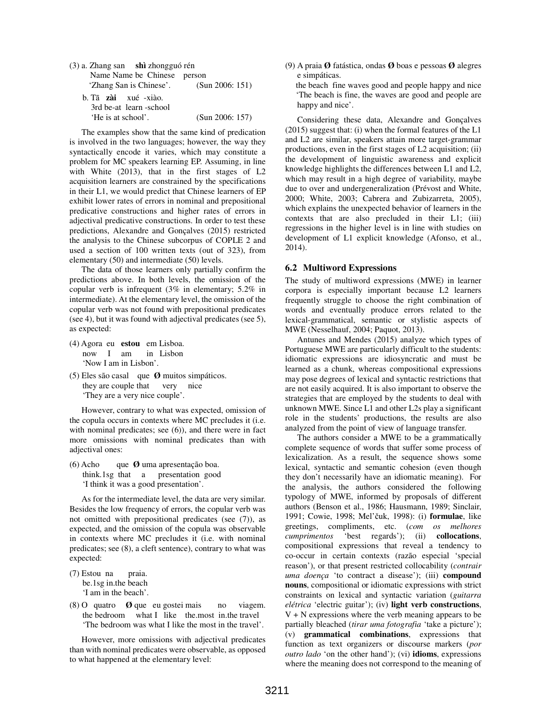| (3) a. Zhang san shì zhongguó rén |                 |
|-----------------------------------|-----------------|
| Name Name be Chinese person       |                 |
| 'Zhang San is Chinese'.           | (Sun 2006: 151) |
| b. Tā zài xué -xiào.              |                 |
| 3rd be-at learn -school           |                 |
| 'He is at school'.                | (Sun 2006: 157) |

 The examples show that the same kind of predication is involved in the two languages; however, the way they syntactically encode it varies, which may constitute a problem for MC speakers learning EP. Assuming, in line with White (2013), that in the first stages of L2 acquisition learners are constrained by the specifications in their L1, we would predict that Chinese learners of EP exhibit lower rates of errors in nominal and prepositional predicative constructions and higher rates of errors in adjectival predicative constructions. In order to test these predictions, Alexandre and Gonçalves (2015) restricted the analysis to the Chinese subcorpus of COPLE 2 and used a section of 100 written texts (out of 323), from elementary (50) and intermediate (50) levels.

 The data of those learners only partially confirm the predictions above. In both levels, the omission of the copular verb is infrequent (3% in elementary; 5.2% in intermediate). At the elementary level, the omission of the copular verb was not found with prepositional predicates (see 4), but it was found with adjectival predicates (see 5), as expected:

- (4) Agora eu **estou** em Lisboa. now I am in Lisbon 'Now I am in Lisbon'.
- (5) Eles são casal que **Ø** muitos simpáticos. they are couple that very nice 'They are a very nice couple'.

 However, contrary to what was expected, omission of the copula occurs in contexts where MC precludes it (i.e. with nominal predicates; see (6)), and there were in fact more omissions with nominal predicates than with adjectival ones:

(6) Acho que **Ø** uma apresentação boa. think.1sg that a presentation good 'I think it was a good presentation'.

 As for the intermediate level, the data are very similar. Besides the low frequency of errors, the copular verb was not omitted with prepositional predicates (see (7)), as expected, and the omission of the copula was observable in contexts where MC precludes it (i.e. with nominal predicates; see (8), a cleft sentence), contrary to what was expected:

(7) Estou na praia. be.1sg in.the beach 'I am in the beach'.

(8) O quatro **Ø** que eu gostei mais no viagem. the bedroom what I like the.most in.the travel 'The bedroom was what I like the most in the travel'.

 However, more omissions with adjectival predicates than with nominal predicates were observable, as opposed to what happened at the elementary level:

(9) A praia **Ø** fatástica, ondas **Ø** boas e pessoas **Ø** alegres e simpáticas.

 the beach fine waves good and people happy and nice 'The beach is fine, the waves are good and people are happy and nice'.

 Considering these data, Alexandre and Gonçalves (2015) suggest that: (i) when the formal features of the L1 and L2 are similar, speakers attain more target-grammar productions, even in the first stages of L2 acquisition; (ii) the development of linguistic awareness and explicit knowledge highlights the differences between L1 and L2, which may result in a high degree of variability, maybe due to over and undergeneralization (Prévost and White, 2000; White, 2003; Cabrera and Zubizarreta, 2005), which explains the unexpected behavior of learners in the contexts that are also precluded in their L1; (iii) regressions in the higher level is in line with studies on development of L1 explicit knowledge (Afonso, et al., 2014).

#### **6.2 Multiword Expressions**

The study of multiword expressions (MWE) in learner corpora is especially important because L2 learners frequently struggle to choose the right combination of words and eventually produce errors related to the lexical-grammatical, semantic or stylistic aspects of MWE (Nesselhauf, 2004; Paquot, 2013).

 Antunes and Mendes (2015) analyze which types of Portuguese MWE are particularly difficult to the students: idiomatic expressions are idiosyncratic and must be learned as a chunk, whereas compositional expressions may pose degrees of lexical and syntactic restrictions that are not easily acquired. It is also important to observe the strategies that are employed by the students to deal with unknown MWE. Since L1 and other L2s play a significant role in the students' productions, the results are also analyzed from the point of view of language transfer.

 The authors consider a MWE to be a grammatically complete sequence of words that suffer some process of lexicalization. As a result, the sequence shows some lexical, syntactic and semantic cohesion (even though they don't necessarily have an idiomatic meaning). For the analysis, the authors considered the following typology of MWE, informed by proposals of different authors (Benson et al., 1986; Hausmann, 1989; Sinclair, 1991; Cowie, 1998; Mel'čuk, 1998): (i) **formulae**, like greetings, compliments, etc. (*com os melhores cumprimentos* 'best regards'); (ii) **collocations**, compositional expressions that reveal a tendency to co-occur in certain contexts (razão especial 'special reason'), or that present restricted collocability (*contrair uma doença* 'to contract a disease'); (iii) **compound nouns**, compositional or idiomatic expressions with strict constraints on lexical and syntactic variation (*guitarra elétrica* 'electric guitar'); (iv) **light verb constructions**,  $V + N$  expressions where the verb meaning appears to be partially bleached (*tirar uma fotografia* 'take a picture'); (v) **grammatical combinations**, expressions that function as text organizers or discourse markers (*por outro lado* 'on the other hand'); (vi) **idioms**, expressions where the meaning does not correspond to the meaning of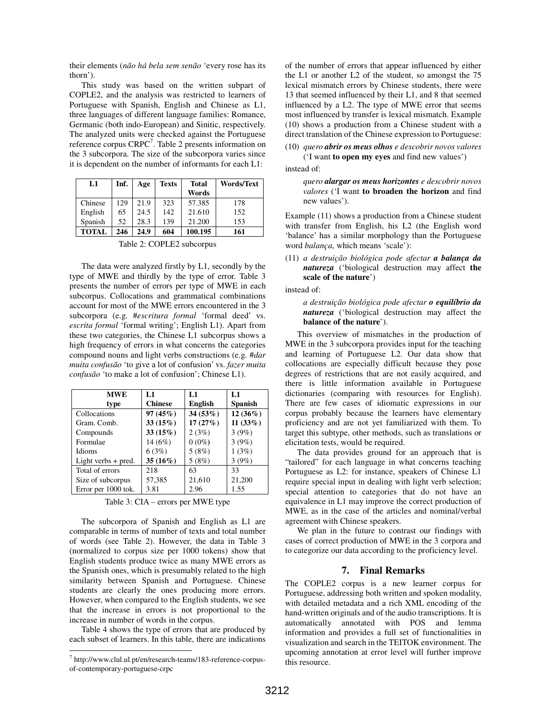their elements (*não há bela sem senão* 'every rose has its thorn').

 This study was based on the written subpart of COPLE2, and the analysis was restricted to learners of Portuguese with Spanish, English and Chinese as L1, three languages of different language families: Romance, Germanic (both indo-European) and Sinitic, respectively. The analyzed units were checked against the Portuguese reference corpus CRPC<sup>7</sup>. Table 2 presents information on the 3 subcorpora. The size of the subcorpora varies since it is dependent on the number of informants for each L1:

| L1           | Inf. | Age  | Texts | <b>Total</b> | <b>Words/Text</b> |
|--------------|------|------|-------|--------------|-------------------|
|              |      |      |       | Words        |                   |
| Chinese      | 129  | 21.9 | 323   | 57.385       | 178               |
| English      | 65   | 24.5 | 142   | 21.610       | 152               |
| Spanish      | 52   | 28.3 | 139   | 21.200       | 153               |
| <b>TOTAL</b> | 246  | 24.9 | 604   | 100.195      | 161               |

Table 2: COPLE2 subcorpus

 The data were analyzed firstly by L1, secondly by the type of MWE and thirdly by the type of error. Table 3 presents the number of errors per type of MWE in each subcorpus. Collocations and grammatical combinations account for most of the MWE errors encountered in the 3 subcorpora (e.g. #*escritura formal* 'formal deed' vs. *escrita formal* 'formal writing'; English L1). Apart from these two categories, the Chinese L1 subcorpus shows a high frequency of errors in what concerns the categories compound nouns and light verbs constructions (e.g. #*dar muita confusão* 'to give a lot of confusion' vs. *fazer muita confusão* 'to make a lot of confusion'; Chinese L1).

| <b>MWE</b>            | L1             | L1             | L1             |
|-----------------------|----------------|----------------|----------------|
| type                  | <b>Chinese</b> | <b>English</b> | <b>Spanish</b> |
| Collocations          | 97(45%)        | 34(53%)        | $12(36\%)$     |
| Gram. Comb.           | 33(15%)        | 17(27%)        | $11(33\%)$     |
| Compounds             | 33(15%)        | 2(3%)          | 3(9%)          |
| Formulae              | 14 $(6%)$      | $0(0\%)$       | 3(9%)          |
| <b>Idioms</b>         | 6(3%)          | 5(8%)          | 1(3%)          |
| Light verbs $+$ pred. | $35(16\%)$     | 5(8%)          | 3(9%)          |
| Total of errors       | 218            | 63             | 33             |
| Size of subcorpus     | 57,385         | 21,610         | 21,200         |
| Error per 1000 tok.   | 3.81           | 2.96           | 1.55           |

Table 3: CIA – errors per MWE type

 The subcorpora of Spanish and English as L1 are comparable in terms of number of texts and total number of words (see Table 2). However, the data in Table 3 (normalized to corpus size per 1000 tokens) show that English students produce twice as many MWE errors as the Spanish ones, which is presumably related to the high similarity between Spanish and Portuguese. Chinese students are clearly the ones producing more errors. However, when compared to the English students, we see that the increase in errors is not proportional to the increase in number of words in the corpus.

 Table 4 shows the type of errors that are produced by each subset of learners. In this table, there are indications

 $\overline{a}$ 

of the number of errors that appear influenced by either the L1 or another L2 of the student, so amongst the 75 lexical mismatch errors by Chinese students, there were 13 that seemed influenced by their L1, and 8 that seemed influenced by a L2. The type of MWE error that seems most influenced by transfer is lexical mismatch. Example (10) shows a production from a Chinese student with a direct translation of the Chinese expression to Portuguese:

(10) *quero abrir os meus olhos e descobrir novos valores*

('I want **to open my eyes** and find new values')

instead of:

*quero alargar os meus horizontes e descobrir novos valores* ('I want **to broaden the horizon** and find new values').

Example (11) shows a production from a Chinese student with transfer from English, his L2 (the English word 'balance' has a similar morphology than the Portuguese word *balança*, which means 'scale'):

# (11) *a destruição biológica pode afectar a balança da natureza* ('biological destruction may affect **the scale of the nature**')

instead of:

*a destruição biológica pode afectar o equilíbrio da natureza* ('biological destruction may affect the **balance of the nature**').

This overview of mismatches in the production of MWE in the 3 subcorpora provides input for the teaching and learning of Portuguese L2. Our data show that collocations are especially difficult because they pose degrees of restrictions that are not easily acquired, and there is little information available in Portuguese dictionaries (comparing with resources for English). There are few cases of idiomatic expressions in our corpus probably because the learners have elementary proficiency and are not yet familiarized with them. To target this subtype, other methods, such as translations or elicitation tests, would be required.

The data provides ground for an approach that is "tailored" for each language in what concerns teaching Portuguese as L2: for instance, speakers of Chinese L1 require special input in dealing with light verb selection; special attention to categories that do not have an equivalence in L1 may improve the correct production of MWE, as in the case of the articles and nominal/verbal agreement with Chinese speakers.

 We plan in the future to contrast our findings with cases of correct production of MWE in the 3 corpora and to categorize our data according to the proficiency level.

#### **7. Final Remarks**

The COPLE2 corpus is a new learner corpus for Portuguese, addressing both written and spoken modality, with detailed metadata and a rich XML encoding of the hand-written originals and of the audio transcriptions. It is automatically annotated with POS and lemma information and provides a full set of functionalities in visualization and search in the TEITOK environment. The upcoming annotation at error level will further improve this resource.

<sup>7</sup> http://www.clul.ul.pt/en/research-teams/183-reference-corpusof-contemporary-portuguese-crpc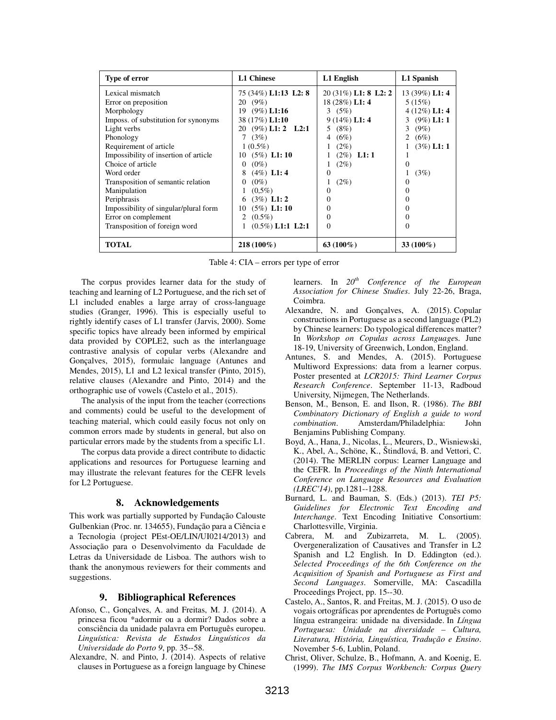| <b>Type of error</b>                  | <b>L1 Chinese</b>       | L1 English             | L1 Spanish      |
|---------------------------------------|-------------------------|------------------------|-----------------|
| Lexical mismatch                      | 75 (34%) L1:13 L2: 8    | $20(31\%)$ L1: 8 L2: 2 | 13 (39%) L1: 4  |
| Error on preposition                  | 20 (9%)                 | 18 (28%) L1: 4         | 5(15%)          |
| Morphology                            | 19 (9%) L1:16           | 3 $(5%)$               | $4(12\%)$ L1: 4 |
| Imposs. of substitution for synonyms  | 38 (17%) L1:10          | $9(14\%)$ L1: 4        | 3 $(9\%)$ L1: 1 |
| Light verbs                           | 20 (9%) L1: 2 L2:1      | $(8\%)$<br>5.          | $(9\%)$<br>3    |
| Phonology                             | 7 $(3%)$                | (6%)<br>4              | 2 $(6%)$        |
| Requirement of article                | $1(0.5\%)$              | $(2\%)$                | $(3\%)$ L1: 1   |
| Impossibility of insertion of article | 10 $(5\%)$ L1:10        | $(2\%)$ L1:1           |                 |
| Choice of article                     | $(0\%)$<br>0            | $(2\%)$                | $\Omega$        |
| Word order                            | $(4\%)$ L1: 4<br>8      | $\Omega$               | (3%)            |
| Transposition of semantic relation    | $\mathbf{0}$<br>$(0\%)$ | $(2\%)$                | $\Omega$        |
| Manipulation                          | $(0.5\%)$               | $\mathbf{0}$           | $\Omega$        |
| Periphrasis                           | $(3\%)$ L1: 2<br>6      | $\Omega$               | 0               |
| Impossibility of singular/plural form | $(5\%)$ L1: 10<br>10    | 0                      | $\Omega$        |
| Error on complement                   | $(0.5\%)$<br>2          | 0                      | $\Omega$        |
| Transposition of foreign word         | $(0.5\%)$ L1:1 L2:1     | $\Omega$               | $\Omega$        |
| TOTAL                                 | $218(100\%)$            | 63 $(100\%)$           | $33(100\%)$     |

Table 4: CIA – errors per type of error

 The corpus provides learner data for the study of teaching and learning of L2 Portuguese, and the rich set of L1 included enables a large array of cross-language studies (Granger, 1996). This is especially useful to rightly identify cases of L1 transfer (Jarvis, 2000). Some specific topics have already been informed by empirical data provided by COPLE2, such as the interlanguage contrastive analysis of copular verbs (Alexandre and Gonçalves, 2015), formulaic language (Antunes and Mendes, 2015), L1 and L2 lexical transfer (Pinto, 2015), relative clauses (Alexandre and Pinto, 2014) and the orthographic use of vowels (Castelo et al., 2015).

The analysis of the input from the teacher (corrections and comments) could be useful to the development of teaching material, which could easily focus not only on common errors made by students in general, but also on particular errors made by the students from a specific L1.

The corpus data provide a direct contribute to didactic applications and resources for Portuguese learning and may illustrate the relevant features for the CEFR levels for L2 Portuguese.

# **8. Acknowledgements**

This work was partially supported by Fundação Calouste Gulbenkian (Proc. nr. 134655), Fundação para a Ciência e a Tecnologia (project PEst-OE/LIN/UI0214/2013) and Associação para o Desenvolvimento da Faculdade de Letras da Universidade de Lisboa. The authors wish to thank the anonymous reviewers for their comments and suggestions.

# **9. Bibliographical References**

- Afonso, C., Gonçalves, A. and Freitas, M. J. (2014). A princesa ficou \*adormir ou a dormir? Dados sobre a consciência da unidade palavra em Português europeu. *Linguística: Revista de Estudos Linguísticos da Universidade do Porto 9*, pp. 35--58.
- Alexandre, N. and Pinto, J. (2014). Aspects of relative clauses in Portuguese as a foreign language by Chinese

learners. In *20th Conference of the European Association for Chinese Studies*. July 22-26, Braga, Coimbra.

- Alexandre, N. and Gonçalves, A. (2015). Copular constructions in Portuguese as a second language (PL2) by Chinese learners: Do typological differences matter? In *Workshop on Copulas across Language*s. June 18-19, University of Greenwich, London, England.
- Antunes, S. and Mendes, A. (2015). Portuguese Multiword Expressions: data from a learner corpus. Poster presented at *LCR2015: Third Learner Corpus Research Conference*. September 11-13, Radboud University, Nijmegen, The Netherlands.
- Benson, M., Benson, E. and Ilson, R. (1986). *The BBI Combinatory Dictionary of English a guide to word combination*. Amsterdam/Philadelphia: John Benjamins Publishing Company.
- Boyd, A., Hana, J., Nicolas, L., Meurers, D., Wisniewski, K., Abel, A., Schöne, K., Štindlová, B. and Vettori, C. (2014). The MERLIN corpus: Learner Language and the CEFR. In *Proceedings of the Ninth International Conference on Language Resources and Evaluation (LREC'14)*, pp.1281--1288.
- Burnard, L. and Bauman, S. (Eds.) (2013). *TEI P5: Guidelines for Electronic Text Encoding and Interchange*. Text Encoding Initiative Consortium: Charlottesville, Virginia.
- Cabrera, M. and Zubizarreta, M. L. (2005). Overgeneralization of Causatives and Transfer in L2 Spanish and L2 English. In D. Eddington (ed.). *Selected Proceedings of the 6th Conference on the Acquisition of Spanish and Portuguese as First and Second Languages*. Somerville, MA: Cascadilla Proceedings Project, pp. 15--30.
- Castelo, A., Santos, R. and Freitas, M. J. (2015). O uso de vogais ortográficas por aprendentes de Português como língua estrangeira: unidade na diversidade. In *Língua Portuguesa: Unidade na diversidade – Cultura, Literatura, História, Linguística, Tradução e Ensino*. November 5-6, Lublin, Poland.
- Christ, Oliver, Schulze, B., Hofmann, A. and Koenig, E. (1999). *The IMS Corpus Workbench: Corpus Query*